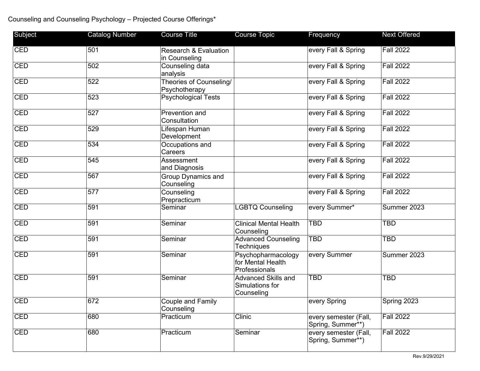## Counseling and Counseling Psychology – Projected Course Offerings\*

| Subject    | <b>Catalog Number</b> | <b>Course Title</b>                               | <b>Course Topic</b>                                      | Frequency                                  | <b>Next Offered</b> |
|------------|-----------------------|---------------------------------------------------|----------------------------------------------------------|--------------------------------------------|---------------------|
| CED        | 501                   | <b>Research &amp; Evaluation</b><br>in Counseling |                                                          | every Fall & Spring                        | <b>Fall 2022</b>    |
| CED        | 502                   | Counseling data<br>analysis                       |                                                          | every Fall & Spring                        | <b>Fall 2022</b>    |
| <b>CED</b> | 522                   | Theories of Counseling/<br>Psychotherapy          |                                                          | every Fall & Spring                        | <b>Fall 2022</b>    |
| <b>CED</b> | 523                   | <b>Psychological Tests</b>                        |                                                          | every Fall & Spring                        | <b>Fall 2022</b>    |
| <b>CED</b> | 527                   | Prevention and<br>Consultation                    |                                                          | every Fall & Spring                        | <b>Fall 2022</b>    |
| <b>CED</b> | 529                   | Lifespan Human<br>Development                     |                                                          | every Fall & Spring                        | <b>Fall 2022</b>    |
| CED        | 534                   | Occupations and<br>Careers                        |                                                          | every Fall & Spring                        | <b>Fall 2022</b>    |
| <b>CED</b> | 545                   | Assessment<br>and Diagnosis                       |                                                          | every Fall & Spring                        | Fall 2022           |
| CED        | 567                   | Group Dynamics and<br>Counseling                  |                                                          | every Fall & Spring                        | <b>Fall 2022</b>    |
| <b>CED</b> | 577                   | Counseling<br>Prepracticum                        |                                                          | every Fall & Spring                        | <b>Fall 2022</b>    |
| <b>CED</b> | 591                   | Seminar                                           | <b>LGBTQ Counseling</b>                                  | every Summer*                              | Summer 2023         |
| CED        | 591                   | Seminar                                           | <b>Clinical Mental Health</b><br>Counseling              | TBD                                        | <b>TBD</b>          |
| CED        | 591                   | Seminar                                           | <b>Advanced Counseling</b><br>Techniques                 | TBD                                        | <b>TBD</b>          |
| <b>CED</b> | 591                   | Seminar                                           | Psychopharmacology<br>for Mental Health<br>Professionals | every Summer                               | Summer 2023         |
| <b>CED</b> | 591                   | Seminar                                           | Advanced Skills and<br>Simulations for<br>Counseling     | <b>TBD</b>                                 | <b>TBD</b>          |
| CED        | 672                   | Couple and Family<br>Counseling                   |                                                          | every Spring                               | Spring 2023         |
| <b>CED</b> | 680                   | Practicum                                         | <b>Clinic</b>                                            | every semester (Fall,<br>Spring, Summer**) | <b>Fall 2022</b>    |
| <b>CED</b> | 680                   | Practicum                                         | Seminar                                                  | every semester (Fall,<br>Spring, Summer**) | <b>Fall 2022</b>    |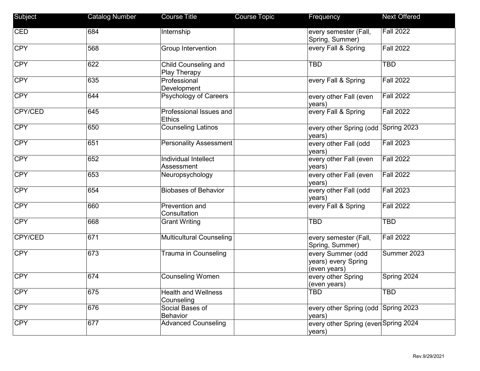| Subject    | <b>Catalog Number</b> | <b>Course Title</b>                      | Course Topic | Frequency                                                | <b>Next Offered</b>              |
|------------|-----------------------|------------------------------------------|--------------|----------------------------------------------------------|----------------------------------|
| <b>CED</b> | 684                   | Internship                               |              | every semester (Fall,<br>Spring, Summer)                 | <b>Fall 2022</b>                 |
| <b>CPY</b> | 568                   | Group Intervention                       |              | every Fall & Spring                                      | <b>Fall 2022</b>                 |
| <b>CPY</b> | 622                   | Child Counseling and<br>Play Therapy     |              | <b>TBD</b>                                               | <b>TBD</b>                       |
| <b>CPY</b> | 635                   | Professional<br>Development              |              | every Fall & Spring                                      | <b>Fall 2022</b>                 |
| <b>CPY</b> | 644                   | <b>Psychology of Careers</b>             |              | every other Fall (even<br>years)                         | <b>Fall 2022</b>                 |
| CPY/CED    | 645                   | Professional Issues and<br><b>Ethics</b> |              | every Fall & Spring                                      | <b>Fall 2022</b>                 |
| <b>CPY</b> | 650                   | <b>Counseling Latinos</b>                |              | every other Spring (odd<br>years)                        | Spring 2023                      |
| <b>CPY</b> | 651                   | <b>Personality Assessment</b>            |              | every other Fall (odd<br>years)                          | <b>Fall 2023</b>                 |
| <b>CPY</b> | 652                   | Individual Intellect<br>Assessment       |              | every other Fall (even<br>years)                         | <b>Fall 2022</b>                 |
| <b>CPY</b> | 653                   | Neuropsychology                          |              | every other Fall (even<br>years)                         | <b>Fall 2022</b>                 |
| <b>CPY</b> | 654                   | <b>Biobases of Behavior</b>              |              | every other Fall (odd<br>years)                          | <b>Fall 2023</b>                 |
| <b>CPY</b> | 660                   | Prevention and<br>Consultation           |              | every Fall & Spring                                      | <b>Fall 2022</b>                 |
| <b>CPY</b> | 668                   | <b>Grant Writing</b>                     |              | <b>TBD</b>                                               | <b>TBD</b>                       |
| CPY/CED    | 671                   | <b>Multicultural Counseling</b>          |              | every semester (Fall,<br>Spring, Summer)                 | $\overline{\mathsf{Fall}\ 2022}$ |
| <b>CPY</b> | 673                   | Trauma in Counseling                     |              | every Summer (odd<br>years) every Spring<br>(even years) | Summer 2023                      |
| <b>CPY</b> | 674                   | <b>Counseling Women</b>                  |              | every other Spring<br>(even years)                       | Spring 2024                      |
| <b>CPY</b> | 675                   | <b>Health and Wellness</b><br>Counseling |              | <b>TBD</b>                                               | <b>TBD</b>                       |
| <b>CPY</b> | 676                   | Social Bases of<br>Behavior              |              | every other Spring (odd Spring 2023<br>years)            |                                  |
| <b>CPY</b> | 677                   | <b>Advanced Counseling</b>               |              | every other Spring (even Spring 2024<br>years)           |                                  |